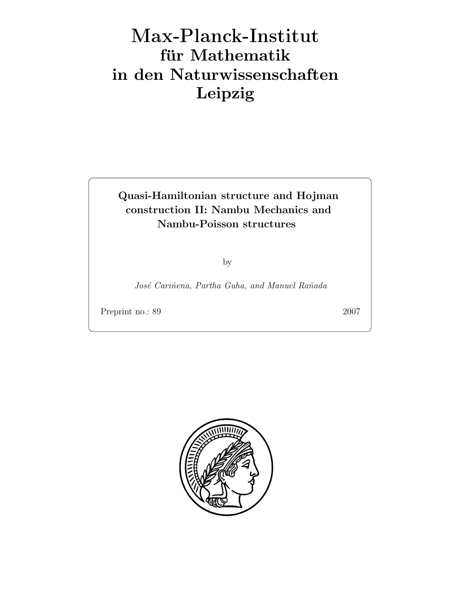# Max-Plan
k-Institut für Mathematik in den Naturwissenschaften Leipzig

## Quasi-Hamiltonian structure and Hojman construction II: Nambu Mechanics and Nambu-Poisson structures

by

José Cariñena, Partha Guha, and Manuel Rañada

Preprint no.: 89 2007

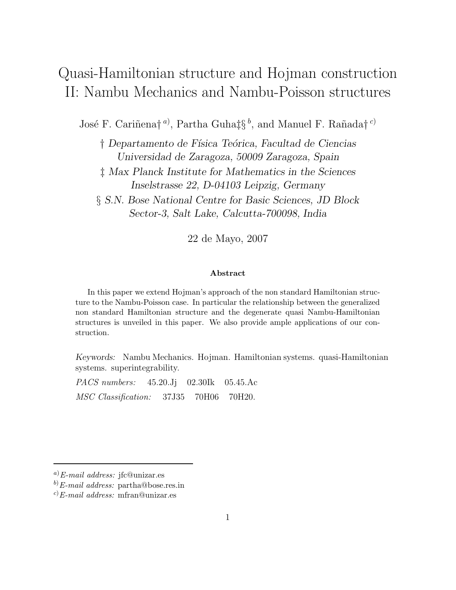## Quasi-Hamiltonian structure and Hojman construction II: Nambu Mechanics and Nambu-Poisson structures

José F. Cariñena†<sup>a)</sup>, Partha Guha‡ $\S^b$ , and Manuel F. Rañada†<sup>c)</sup>

 $\dagger$  Departamento de Física Teórica, Facultad de Ciencias Universidad de Zaragoza, 50009 Zaragoza, Spain

‡ Max Planck Institute for Mathematics in the Sciences Inselstrasse 22, D-04103 Leipzig, Germany

§ S.N. Bose National Centre for Basic Sciences, JD Block Sector-3, Salt Lake, Calcutta-700098, India

22 de Mayo, 2007

#### Abstract

In this paper we extend Hojman's approach of the non standard Hamiltonian structure to the Nambu-Poisson case. In particular the relationship between the generalized non standard Hamiltonian structure and the degenerate quasi Nambu-Hamiltonian structures is unveiled in this paper. We also provide ample applications of our construction.

Keywords: Nambu Mechanics. Hojman. Hamiltonian systems. quasi-Hamiltonian systems. superintegrability.

PACS numbers: 45.20.Jj 02.30Ik 05.45.Ac MSC Classification: 37J35 70H06 70H20.

 $a)$ E-mail address: jfc@unizar.es

 $(b)$ E-mail address: partha@bose.res.in

 $^{c)}E$ -mail address: mfran@unizar.es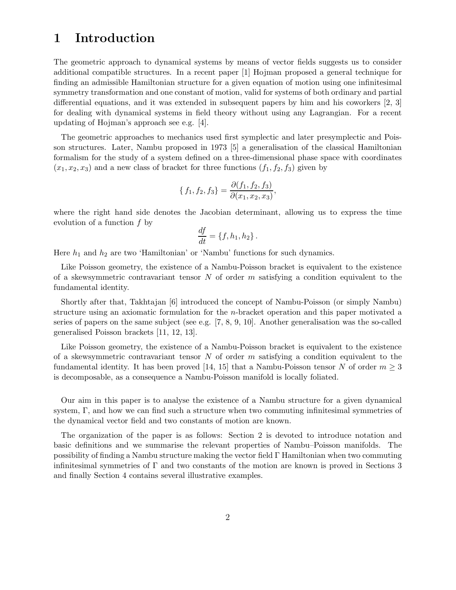#### 1 Introduction

The geometric approach to dynamical systems by means of vector fields suggests us to consider additional compatible structures. In a recent paper [1] Hojman proposed a general technique for finding an admissible Hamiltonian structure for a given equation of motion using one infinitesimal symmetry transformation and one constant of motion, valid for systems of both ordinary and partial differential equations, and it was extended in subsequent papers by him and his coworkers [2, 3] for dealing with dynamical systems in field theory without using any Lagrangian. For a recent updating of Hojman's approach see e.g. [4].

The geometric approaches to mechanics used first symplectic and later presymplectic and Poisson structures. Later, Nambu proposed in 1973 [5] a generalisation of the classical Hamiltonian formalism for the study of a system defined on a three-dimensional phase space with coordinates  $(x_1, x_2, x_3)$  and a new class of bracket for three functions  $(f_1, f_2, f_3)$  given by

$$
\{f_1, f_2, f_3\} = \frac{\partial(f_1, f_2, f_3)}{\partial(x_1, x_2, x_3)},
$$

where the right hand side denotes the Jacobian determinant, allowing us to express the time evolution of a function  $f$  by

$$
\frac{df}{dt} = \{f, h_1, h_2\}.
$$

Here  $h_1$  and  $h_2$  are two 'Hamiltonian' or 'Nambu' functions for such dynamics.

Like Poisson geometry, the existence of a Nambu-Poisson bracket is equivalent to the existence of a skewsymmetric contravariant tensor  $N$  of order  $m$  satisfying a condition equivalent to the fundamental identity.

Shortly after that, Takhtajan [6] introduced the concept of Nambu-Poisson (or simply Nambu) structure using an axiomatic formulation for the n-bracket operation and this paper motivated a series of papers on the same subject (see e.g. [7, 8, 9, 10]. Another generalisation was the so-called generalised Poisson brackets [11, 12, 13].

Like Poisson geometry, the existence of a Nambu-Poisson bracket is equivalent to the existence of a skewsymmetric contravariant tensor  $N$  of order  $m$  satisfying a condition equivalent to the fundamental identity. It has been proved [14, 15] that a Nambu-Poisson tensor N of order  $m \geq 3$ is decomposable, as a consequence a Nambu-Poisson manifold is locally foliated.

Our aim in this paper is to analyse the existence of a Nambu structure for a given dynamical system, Γ, and how we can find such a structure when two commuting infinitesimal symmetries of the dynamical vector field and two constants of motion are known.

The organization of the paper is as follows: Section 2 is devoted to introduce notation and basic definitions and we summarise the relevant properties of Nambu–Poisson manifolds. The possibility of finding a Nambu structure making the vector field Γ Hamiltonian when two commuting infinitesimal symmetries of Γ and two constants of the motion are known is proved in Sections 3 and finally Section 4 contains several illustrative examples.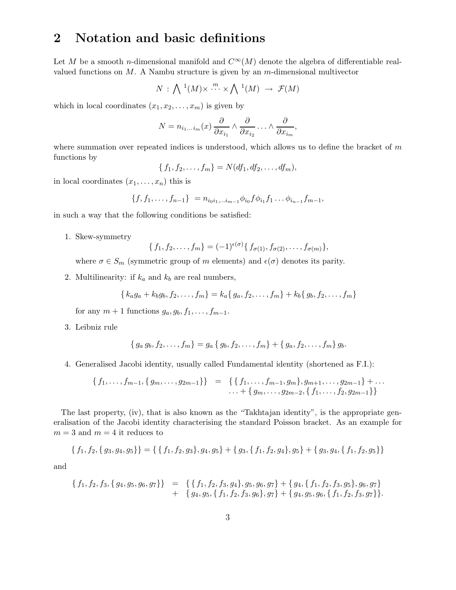## 2 Notation and basic definitions

Let M be a smooth n-dimensional manifold and  $C^{\infty}(M)$  denote the algebra of differentiable realvalued functions on  $M$ . A Nambu structure is given by an  $m$ -dimensional multivector

$$
N\,:\,\bigwedge\,1(M)\times\stackrel{m}{\cdots}\times\bigwedge\,1(M)\,\,\rightarrow\,\,\mathcal{F}(M)
$$

which in local coordinates  $(x_1, x_2, \ldots, x_m)$  is given by

$$
N = n_{i_1...i_m}(x) \frac{\partial}{\partial x_{i_1}} \wedge \frac{\partial}{\partial x_{i_2}} \ldots \wedge \frac{\partial}{\partial x_{i_m}},
$$

where summation over repeated indices is understood, which allows us to define the bracket of  $m$ functions by

$$
\{f_1, f_2, \ldots, f_m\} = N(df_1, df_2, \ldots, df_m),
$$

in local coordinates  $(x_1, \ldots, x_n)$  this is

$$
\{f, f_1, \ldots, f_{n-1}\} = n_{i_0 i_1, \ldots i_{m-1}} \phi_{i_0} f \phi_{i_1} f_1 \ldots \phi_{i_{n-1}} f_{m-1},
$$

in such a way that the following conditions be satisfied:

1. Skew-symmetry

$$
\{f_1, f_2, \ldots, f_m\} = (-1)^{\epsilon(\sigma)} \{f_{\sigma(1)}, f_{\sigma(2)}, \ldots, f_{\sigma(m)}\},
$$

where  $\sigma \in S_m$  (symmetric group of m elements) and  $\epsilon(\sigma)$  denotes its parity.

2. Multilinearity: if  $k_a$  and  $k_b$  are real numbers,

$$
\{k_a g_a + k_b g_b, f_2, \ldots, f_m\} = k_a \{g_a, f_2, \ldots, f_m\} + k_b \{g_b, f_2, \ldots, f_m\}
$$

for any  $m + 1$  functions  $g_a, g_b, f_1, \ldots, f_{m-1}$ .

3. Leibniz rule

$$
\{g_a g_b, f_2, \ldots, f_m\} = g_a \{g_b, f_2, \ldots, f_m\} + \{g_a, f_2, \ldots, f_m\} g_b.
$$

4. Generalised Jacobi identity, usually called Fundamental identity (shortened as F.I.):

$$
\{f_1,\ldots,f_{m-1},\{g_m,\ldots,g_{2m-1}\}\} = \{ \{f_1,\ldots,f_{m-1},g_m\},g_{m+1},\ldots,g_{2m-1}\} + \ldots \ldots + \{g_m,\ldots,g_{2m-2},\{f_1,\ldots,f_2,g_{2m-1}\}\}
$$

The last property, (iv), that is also known as the "Takhtajan identity", is the appropriate generalisation of the Jacobi identity characterising the standard Poisson bracket. As an example for  $m = 3$  and  $m = 4$  it reduces to

$$
\{f_1, f_2, \{g_3, g_4, g_5\}\} = \{ \{f_1, f_2, g_3\}, g_4, g_5\} + \{g_3, \{f_1, f_2, g_4\}, g_5\} + \{g_3, g_4, \{f_1, f_2, g_5\}\}
$$

and

$$
\begin{array}{rcl}\n\{f_1, f_2, f_3, \{g_4, g_5, g_6, g_7\}\} & = & \{\{f_1, f_2, f_3, g_4\}, g_5, g_6, g_7\} + \{g_4, \{f_1, f_2, f_3, g_5\}, g_6, g_7\} \\
& & + \{g_4, g_5, \{f_1, f_2, f_3, g_6\}, g_7\} + \{g_4, g_5, g_6, \{f_1, f_2, f_3, g_7\}\}.\n\end{array}
$$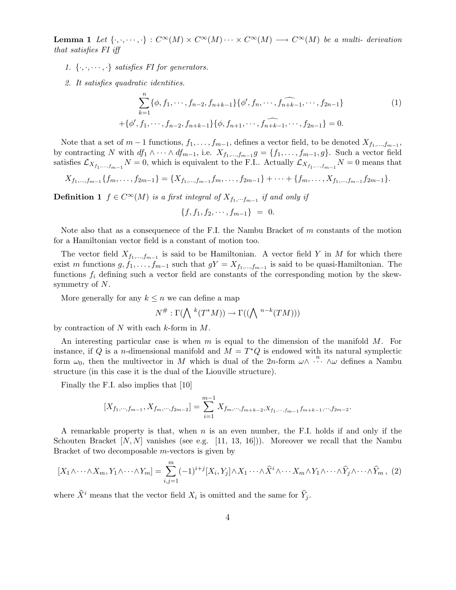**Lemma 1** Let  $\{\cdot,\cdot,\cdot\cdot,\cdot\}: C^{\infty}(M) \times C^{\infty}(M) \cdots \times C^{\infty}(M) \longrightarrow C^{\infty}(M)$  be a multi-derivation that satisfies FI iff

- 1.  $\{\cdot,\cdot,\cdot\cdot,\cdot\}$  satisfies FI for generators.
- 2. It satisfies quadratic identities.

$$
\sum_{k=1}^{n} \{\phi, f_1, \cdots, f_{n-2}, f_{n+k-1}\} \{\phi', f_n, \cdots, \widehat{f_{n+k-1}}, \cdots, f_{2n-1}\}\
$$
\n
$$
+ \{\phi', f_1, \cdots, f_{n-2}, f_{n+k-1}\} \{\phi, f_{n+1}, \cdots, \widehat{f_{n+k-1}}, \cdots, f_{2n-1}\} = 0.
$$
\n
$$
(1)
$$

Note that a set of  $m-1$  functions,  $f_1, \ldots, f_{m-1}$ , defines a vector field, to be denoted  $X_{f_1,\ldots,f_{m-1}}$ , by contracting N with  $df_1 \wedge \cdots \wedge df_{m-1}$ , i.e.  $X_{f_1,\dots,f_{m-1}}g = \{f_1,\dots,f_{m-1},g\}$ . Such a vector field satisfies  $\mathcal{L}_{X_{f_1,...,f_{m-1}}}$   $N = 0$ , which is equivalent to the F.I.. Actually  $\mathcal{L}_{X_{f_1,...,f_{m-1}}}$   $N = 0$  means that

$$
X_{f_1,\ldots,f_{m-1}}\{f_m,\ldots,f_{2m-1}\} = \{X_{f_1,\ldots,f_{m-1}}f_m,\ldots,f_{2m-1}\} + \cdots + \{f_m,\ldots,X_{f_1,\ldots,f_{m-1}}f_{2m-1}\}.
$$

**Definition 1**  $f \in C^{\infty}(M)$  is a first integral of  $X_{f_1,\dots f_{m-1}}$  if and only if

$$
\{f, f_1, f_2, \cdots, f_{m-1}\} = 0.
$$

Note also that as a consequence of the F.I. the Nambu Bracket of  $m$  constants of the motion for a Hamiltonian vector field is a constant of motion too.

The vector field  $X_{f_1,...,f_{m-1}}$  is said to be Hamiltonian. A vector field Y in M for which there exist m functions  $g, f_1, \ldots, f_{m-1}$  such that  $gY = X_{f_1, \ldots, f_{m-1}}$  is said to be quasi-Hamiltonian. The functions  $f_i$  defining such a vector field are constants of the corresponding motion by the skewsymmetry of N.

More generally for any  $k \leq n$  we can define a map

$$
N^{\#} : \Gamma(\bigwedge{}^{k}(T^{*}M)) \to \Gamma((\bigwedge{}^{n-k}(TM)))
$$

by contraction of  $N$  with each  $k$ -form in  $M$ .

An interesting particular case is when m is equal to the dimension of the manifold  $M$ . For instance, if Q is a *n*-dimensional manifold and  $\overline{M} = T^*Q$  is endowed with its natural symplectic form  $\omega_0$ , then the multivector in M which is dual of the 2n-form  $\omega \wedge \cdots \wedge \omega$  defines a Nambu structure (in this case it is the dual of the Liouville structure).

Finally the F.I. also implies that [10]

$$
[X_{f_1,\cdots,f_{m-1}}, X_{f_m,\cdots,f_{2m-2}}] = \sum_{i=1}^{m-1} X_{f_m,\cdots,f_{m+k-2},X_{f_1,\cdots,f_{m-1}}f_{m+k-1},\cdots,f_{2m-2}}.
$$

A remarkable property is that, when  $n$  is an even number, the F.I. holds if and only if the Schouten Bracket  $[N, N]$  vanishes (see e.g. [11, 13, 16])). Moreover we recall that the Nambu Bracket of two decomposable m-vectors is given by

$$
[X_1 \wedge \cdots \wedge X_m, Y_1 \wedge \cdots \wedge Y_m] = \sum_{i,j=1}^m (-1)^{i+j} [X_i, Y_j] \wedge X_1 \cdots \wedge \widehat{X}^i \wedge \cdots X_m \wedge Y_1 \wedge \cdots \wedge \widehat{Y}_j \wedge \cdots \wedge \widehat{Y}_m, (2)
$$

where  $\hat{X}^i$  means that the vector field  $X_i$  is omitted and the same for  $\hat{Y}_j$ .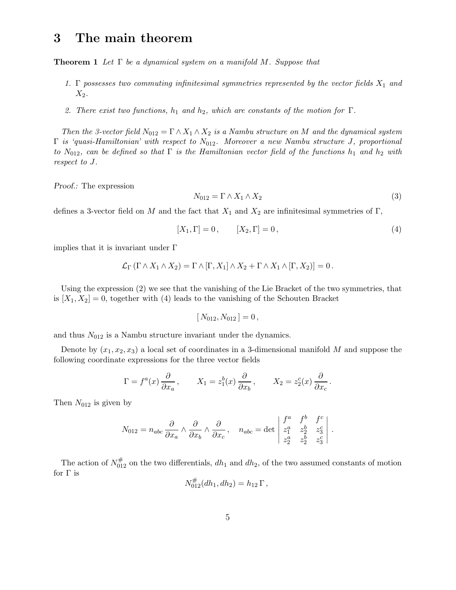#### 3 The main theorem

**Theorem 1** Let  $\Gamma$  be a dynamical system on a manifold M. Suppose that

- 1.  $\Gamma$  possesses two commuting infinitesimal symmetries represented by the vector fields  $X_1$  and  $X_2$ .
- 2. There exist two functions,  $h_1$  and  $h_2$ , which are constants of the motion for  $\Gamma$ .

Then the 3-vector field  $N_{012} = \Gamma \wedge X_1 \wedge X_2$  is a Nambu structure on M and the dynamical system  $\Gamma$  is 'quasi-Hamiltonian' with respect to  $N_{012}$ . Moreover a new Nambu structure J, proportional to N<sub>012</sub>, can be defined so that  $\Gamma$  is the Hamiltonian vector field of the functions  $h_1$  and  $h_2$  with respect to J.

Proof.: The expression

$$
N_{012} = \Gamma \wedge X_1 \wedge X_2 \tag{3}
$$

defines a 3-vector field on M and the fact that  $X_1$  and  $X_2$  are infinitesimal symmetries of  $\Gamma$ ,

$$
[X_1, \Gamma] = 0, \qquad [X_2, \Gamma] = 0, \tag{4}
$$

implies that it is invariant under  $\Gamma$ 

$$
\mathcal{L}_{\Gamma}(\Gamma \wedge X_1 \wedge X_2) = \Gamma \wedge [\Gamma, X_1] \wedge X_2 + \Gamma \wedge X_1 \wedge [\Gamma, X_2] = 0.
$$

Using the expression (2) we see that the vanishing of the Lie Bracket of the two symmetries, that is  $[X_1, X_2] = 0$ , together with (4) leads to the vanishing of the Schouten Bracket

$$
[N_{012}, N_{012}] = 0,
$$

and thus  $N_{012}$  is a Nambu structure invariant under the dynamics.

Denote by  $(x_1, x_2, x_3)$  a local set of coordinates in a 3-dimensional manifold M and suppose the following coordinate expressions for the three vector fields

$$
\Gamma = f^a(x) \frac{\partial}{\partial x_a}, \qquad X_1 = z_1^b(x) \frac{\partial}{\partial x_b}, \qquad X_2 = z_2^c(x) \frac{\partial}{\partial x_c}.
$$

Then  $N_{012}$  is given by

$$
N_{012} = n_{abc} \frac{\partial}{\partial x_a} \wedge \frac{\partial}{\partial x_b} \wedge \frac{\partial}{\partial x_c}, \quad n_{abc} = \det \begin{vmatrix} f^a & f^b & f^c \\ z_1^a & z_2^b & z_3^c \\ z_2^a & z_2^b & z_3^c \end{vmatrix}.
$$

The action of  $N_{012}^{\#}$  on the two differentials,  $dh_1$  and  $dh_2$ , of the two assumed constants of motion for  $\Gamma$  is

$$
N_{012}^{\#}(dh_1, dh_2) = h_{12} \Gamma,
$$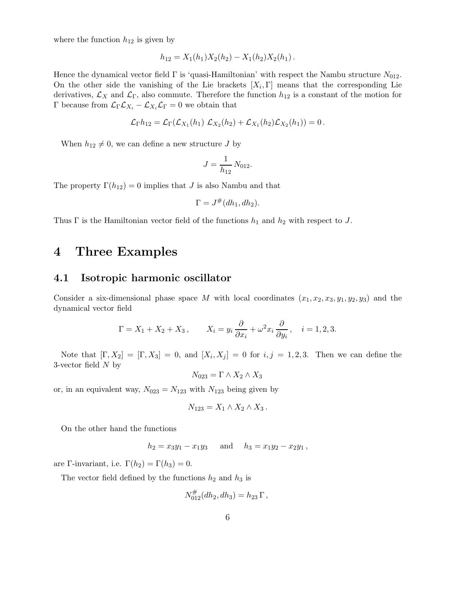where the function  $h_{12}$  is given by

$$
h_{12}=X_1(h_1)X_2(h_2)-X_1(h_2)X_2(h_1).
$$

Hence the dynamical vector field  $\Gamma$  is 'quasi-Hamiltonian' with respect the Nambu structure  $N_{012}$ . On the other side the vanishing of the Lie brackets  $[X_i, \Gamma]$  means that the corresponding Lie derivatives,  $\mathcal{L}_X$  and  $\mathcal{L}_\Gamma$ , also commute. Therefore the function  $h_{12}$  is a constant of the motion for Γ because from  $\mathcal{L}_{\Gamma} \mathcal{L}_{X_i} - \mathcal{L}_{X_i} \mathcal{L}_{\Gamma} = 0$  we obtain that

$$
\mathcal{L}_{\Gamma}h_{12} = \mathcal{L}_{\Gamma}(\mathcal{L}_{X_1}(h_1) \mathcal{L}_{X_2}(h_2) + \mathcal{L}_{X_1}(h_2)\mathcal{L}_{X_2}(h_1)) = 0.
$$

When  $h_{12} \neq 0$ , we can define a new structure J by

$$
J = \frac{1}{h_{12}} N_{012}.
$$

The property  $\Gamma(h_{12}) = 0$  implies that J is also Nambu and that

$$
\Gamma = J^{\#}(dh_1, dh_2).
$$

Thus  $\Gamma$  is the Hamiltonian vector field of the functions  $h_1$  and  $h_2$  with respect to J.

#### 4 Three Examples

#### 4.1 Isotropic harmonic oscillator

Consider a six-dimensional phase space M with local coordinates  $(x_1, x_2, x_3, y_1, y_2, y_3)$  and the dynamical vector field

$$
\Gamma = X_1 + X_2 + X_3, \qquad X_i = y_i \frac{\partial}{\partial x_i} + \omega^2 x_i \frac{\partial}{\partial y_i}, \quad i = 1, 2, 3.
$$

Note that  $[\Gamma, X_2] = [\Gamma, X_3] = 0$ , and  $[X_i, X_j] = 0$  for  $i, j = 1, 2, 3$ . Then we can define the 3-vector field  $N$  by

$$
N_{023} = \Gamma \wedge X_2 \wedge X_3
$$

or, in an equivalent way,  $N_{023} = N_{123}$  with  $N_{123}$  being given by

$$
N_{123}=X_1\wedge X_2\wedge X_3.
$$

On the other hand the functions

$$
h_2 = x_3y_1 - x_1y_3
$$
 and  $h_3 = x_1y_2 - x_2y_1$ ,

are Γ-invariant, i.e.  $\Gamma(h_2) = \Gamma(h_3) = 0$ .

The vector field defined by the functions  $h_2$  and  $h_3$  is

$$
N_{012}^{\#}(dh_2, dh_3) = h_{23} \Gamma,
$$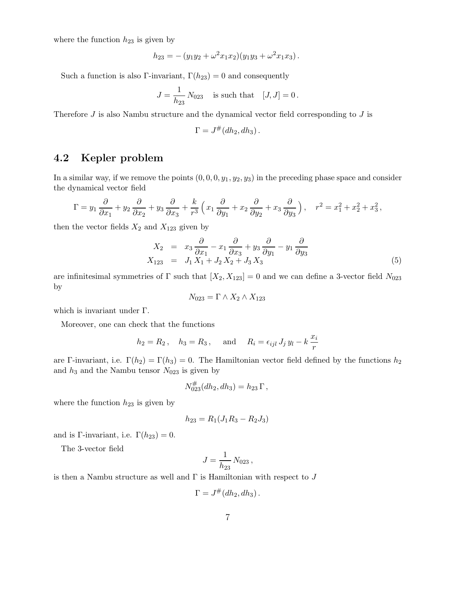where the function  $h_{23}$  is given by

$$
h_{23} = -(y_1y_2 + \omega^2 x_1x_2)(y_1y_3 + \omega^2 x_1x_3).
$$

Such a function is also Γ-invariant,  $\Gamma(h_{23}) = 0$  and consequently

$$
J = \frac{1}{h_{23}} N_{023}
$$
 is such that  $[J, J] = 0$ .

Therefore  $J$  is also Nambu structure and the dynamical vector field corresponding to  $J$  is

$$
\Gamma = J^{\#}(dh_2, dh_3).
$$

#### 4.2 Kepler problem

In a similar way, if we remove the points  $(0, 0, 0, y_1, y_2, y_3)$  in the preceding phase space and consider the dynamical vector field

$$
\Gamma = y_1 \frac{\partial}{\partial x_1} + y_2 \frac{\partial}{\partial x_2} + y_3 \frac{\partial}{\partial x_3} + \frac{k}{r^3} \left( x_1 \frac{\partial}{\partial y_1} + x_2 \frac{\partial}{\partial y_2} + x_3 \frac{\partial}{\partial y_3} \right), \quad r^2 = x_1^2 + x_2^2 + x_3^2,
$$

then the vector fields  $X_2$  and  $X_{123}$  given by

$$
X_2 = x_3 \frac{\partial}{\partial x_1} - x_1 \frac{\partial}{\partial x_3} + y_3 \frac{\partial}{\partial y_1} - y_1 \frac{\partial}{\partial y_3}
$$
  
\n
$$
X_{123} = J_1 X_1 + J_2 X_2 + J_3 X_3
$$
\n(5)

are infinitesimal symmetries of  $\Gamma$  such that  $[X_2, X_{123}] = 0$  and we can define a 3-vector field  $N_{023}$ by

$$
N_{023} = \Gamma \wedge X_2 \wedge X_{123}
$$

which is invariant under Γ.

Moreover, one can check that the functions

$$
h_2 = R_2
$$
,  $h_3 = R_3$ , and  $R_i = \epsilon_{ijl} J_j y_l - k \frac{x_i}{r}$ 

are Γ-invariant, i.e.  $\Gamma(h_2) = \Gamma(h_3) = 0$ . The Hamiltonian vector field defined by the functions  $h_2$ and  $h_3$  and the Nambu tensor  $N_{023}$  is given by

$$
N_{023}^{\#}(dh_2, dh_3) = h_{23} \Gamma,
$$

where the function  $h_{23}$  is given by

$$
h_{23} = R_1(J_1R_3 - R_2J_3)
$$

and is Γ-invariant, i.e.  $\Gamma(h_{23}) = 0$ .

The 3-vector field

$$
J = \frac{1}{h_{23}} N_{023} ,
$$

is then a Nambu structure as well and  $\Gamma$  is Hamiltonian with respect to J

$$
\Gamma = J^{\#}(dh_2, dh_3).
$$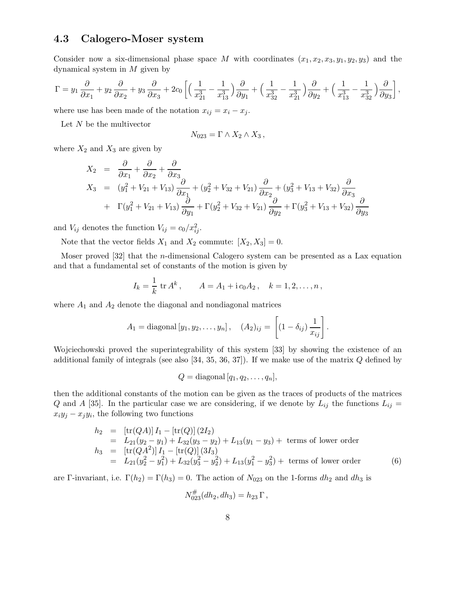#### 4.3 Calogero-Moser system

Consider now a six-dimensional phase space M with coordinates  $(x_1, x_2, x_3, y_1, y_2, y_3)$  and the dynamical system in  $M$  given by

$$
\Gamma = y_1 \frac{\partial}{\partial x_1} + y_2 \frac{\partial}{\partial x_2} + y_3 \frac{\partial}{\partial x_3} + 2c_0 \left[ \left( \frac{1}{x_{21}^3} - \frac{1}{x_{13}^3} \right) \frac{\partial}{\partial y_1} + \left( \frac{1}{x_{32}^3} - \frac{1}{x_{21}^3} \right) \frac{\partial}{\partial y_2} + \left( \frac{1}{x_{13}^3} - \frac{1}{x_{32}^3} \right) \frac{\partial}{\partial y_3} \right],
$$

where use has been made of the notation  $x_{ij} = x_i - x_j$ .

Let  $N$  be the multivector

$$
N_{023} = \Gamma \wedge X_2 \wedge X_3 ,
$$

where  $X_2$  and  $X_3$  are given by

$$
X_2 = \frac{\partial}{\partial x_1} + \frac{\partial}{\partial x_2} + \frac{\partial}{\partial x_3}
$$
  
\n
$$
X_3 = (y_1^2 + V_{21} + V_{13}) \frac{\partial}{\partial x_1} + (y_2^2 + V_{32} + V_{21}) \frac{\partial}{\partial x_2} + (y_3^2 + V_{13} + V_{32}) \frac{\partial}{\partial x_3}
$$
  
\n
$$
+ \Gamma(y_1^2 + V_{21} + V_{13}) \frac{\partial}{\partial y_1} + \Gamma(y_2^2 + V_{32} + V_{21}) \frac{\partial}{\partial y_2} + \Gamma(y_3^2 + V_{13} + V_{32}) \frac{\partial}{\partial y_3}
$$

and  $V_{ij}$  denotes the function  $V_{ij} = c_0/x_{ij}^2$ .

Note that the vector fields  $X_1$  and  $X_2$  commute:  $[X_2, X_3] = 0$ .

Moser proved [32] that the n-dimensional Calogero system can be presented as a Lax equation and that a fundamental set of constants of the motion is given by

$$
I_k = \frac{1}{k} \operatorname{tr} A^k
$$
,  $A = A_1 + i c_0 A_2$ ,  $k = 1, 2, ..., n$ ,

where  $A_1$  and  $A_2$  denote the diagonal and nondiagonal matrices

$$
A_1 = \text{diagonal } [y_1, y_2, \dots, y_n], \quad (A_2)_{ij} = \left[ (1 - \delta_{ij}) \frac{1}{x_{ij}} \right].
$$

Wojciechowski proved the superintegrability of this system [33] by showing the existence of an additional family of integrals (see also  $[34, 35, 36, 37]$ ). If we make use of the matrix Q defined by

$$
Q = \text{diagonal } [q_1, q_2, \dots, q_n],
$$

then the additional constants of the motion can be given as the traces of products of the matrices Q and A [35]. In the particular case we are considering, if we denote by  $L_{ij}$  the functions  $L_{ij}$  =  $x_i y_j - x_j y_i$ , the following two functions

$$
h_2 = [\text{tr}(QA)] I_1 - [\text{tr}(Q)] (2I_2)
$$
  
\n
$$
= L_{21}(y_2 - y_1) + L_{32}(y_3 - y_2) + L_{13}(y_1 - y_3) + \text{ terms of lower order}
$$
  
\n
$$
h_3 = [\text{tr}(QA^2)] I_1 - [\text{tr}(Q)] (3I_3)
$$
  
\n
$$
= L_{21}(y_2^2 - y_1^2) + L_{32}(y_3^2 - y_2^2) + L_{13}(y_1^2 - y_3^2) + \text{ terms of lower order}
$$
(6)

are Γ-invariant, i.e.  $\Gamma(h_2) = \Gamma(h_3) = 0$ . The action of  $N_{023}$  on the 1-forms  $dh_2$  and  $dh_3$  is

$$
N_{023}^{\#}(dh_2, dh_3) = h_{23} \Gamma,
$$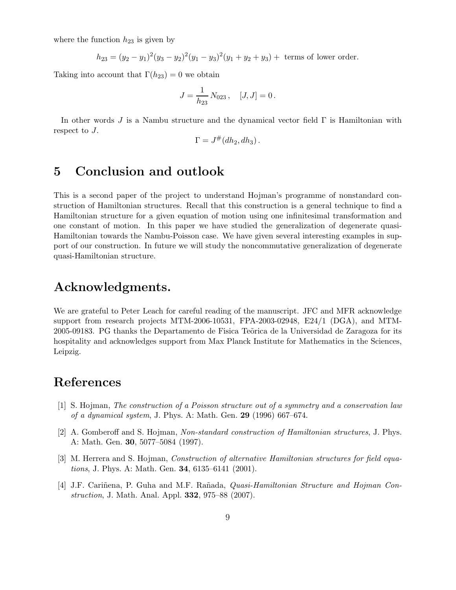where the function  $h_{23}$  is given by

$$
h_{23} = (y_2 - y_1)^2 (y_3 - y_2)^2 (y_1 - y_3)^2 (y_1 + y_2 + y_3) + \text{ terms of lower order.}
$$

Taking into account that  $\Gamma(h_{23}) = 0$  we obtain

$$
J = \frac{1}{h_{23}} N_{023}, \quad [J, J] = 0.
$$

In other words J is a Nambu structure and the dynamical vector field Γ is Hamiltonian with respect to J.

$$
\Gamma = J^{\#}(dh_2, dh_3).
$$

## 5 Conclusion and outlook

This is a second paper of the project to understand Hojman's programme of nonstandard construction of Hamiltonian structures. Recall that this construction is a general technique to find a Hamiltonian structure for a given equation of motion using one infinitesimal transformation and one constant of motion. In this paper we have studied the generalization of degenerate quasi-Hamiltonian towards the Nambu-Poisson case. We have given several interesting examples in support of our construction. In future we will study the noncommutative generalization of degenerate quasi-Hamiltonian structure.

#### Acknowledgments.

We are grateful to Peter Leach for careful reading of the manuscript. JFC and MFR acknowledge support from research projects MTM-2006-10531, FPA-2003-02948, E24/1 (DGA), and MTM-2005-09183. PG thanks the Departamento de Fisica Te˜orica de la Universidad de Zaragoza for its hospitality and acknowledges support from Max Planck Institute for Mathematics in the Sciences, Leipzig.

### References

- [1] S. Hojman, The construction of a Poisson structure out of a symmetry and a conservation law of a dynamical system, J. Phys. A: Math. Gen.  $29$  (1996) 667–674.
- [2] A. Gomberoff and S. Hojman, Non-standard construction of Hamiltonian structures, J. Phys. A: Math. Gen. 30, 5077–5084 (1997).
- [3] M. Herrera and S. Hojman, *Construction of alternative Hamiltonian structures for field equations*, J. Phys. A: Math. Gen. **34**, 6135–6141 (2001).
- [4] J.F. Cariñena, P. Guha and M.F. Rañada, *Quasi-Hamiltonian Structure and Hojman Con*struction, J. Math. Anal. Appl. **332**, 975–88 (2007).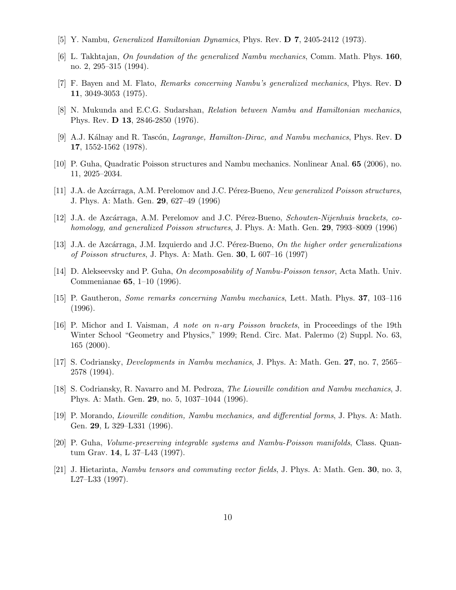- [5] Y. Nambu, Generalized Hamiltonian Dynamics, Phys. Rev. D 7, 2405-2412 (1973).
- [6] L. Takhtajan, On foundation of the generalized Nambu mechanics, Comm. Math. Phys. 160, no. 2, 295–315 (1994).
- [7] F. Bayen and M. Flato, Remarks concerning Nambu's generalized mechanics, Phys. Rev. D 11, 3049-3053 (1975).
- [8] N. Mukunda and E.C.G. Sudarshan, Relation between Nambu and Hamiltonian mechanics, Phys. Rev. D 13, 2846-2850 (1976).
- [9] A.J. Kálnay and R. Tascón, *Lagrange, Hamilton-Dirac, and Nambu mechanics*, Phys. Rev. **D** 17, 1552-1562 (1978).
- [10] P. Guha, Quadratic Poisson structures and Nambu mechanics. Nonlinear Anal. 65 (2006), no. 11, 2025–2034.
- [11] J.A. de Azcárraga, A.M. Perelomov and J.C. Pérez-Bueno, New generalized Poisson structures, J. Phys. A: Math. Gen. 29, 627–49 (1996)
- [12] J.A. de Azcárraga, A.M. Perelomov and J.C. Pérez-Bueno, Schouten-Nijenhuis brackets, cohomology, and generalized Poisson structures, J. Phys. A: Math. Gen. 29, 7993–8009 (1996)
- [13] J.A. de Azcárraga, J.M. Izquierdo and J.C. Pérez-Bueno, On the higher order generalizations of Poisson structures, J. Phys. A: Math. Gen. 30, L 607–16 (1997)
- [14] D. Alekseevsky and P. Guha, *On decomposability of Nambu-Poisson tensor*, Acta Math. Univ. Commenianae 65, 1–10 (1996).
- [15] P. Gautheron, Some remarks concerning Nambu mechanics, Lett. Math. Phys. 37, 103–116 (1996).
- [16] P. Michor and I. Vaisman, A note on n-ary Poisson brackets, in Proceedings of the 19th Winter School "Geometry and Physics," 1999; Rend. Circ. Mat. Palermo (2) Suppl. No. 63, 165 (2000).
- [17] S. Codriansky, Developments in Nambu mechanics, J. Phys. A: Math. Gen. 27, no. 7, 2565– 2578 (1994).
- [18] S. Codriansky, R. Navarro and M. Pedroza, The Liouville condition and Nambu mechanics, J. Phys. A: Math. Gen. 29, no. 5, 1037–1044 (1996).
- [19] P. Morando, Liouville condition, Nambu mechanics, and differential forms, J. Phys. A: Math. Gen. 29, L 329–L331 (1996).
- [20] P. Guha, Volume-preserving integrable systems and Nambu-Poisson manifolds, Class. Quantum Grav. 14, L 37–L43 (1997).
- [21] J. Hietarinta, Nambu tensors and commuting vector fields, J. Phys. A: Math. Gen. 30, no. 3, L27–L33 (1997).